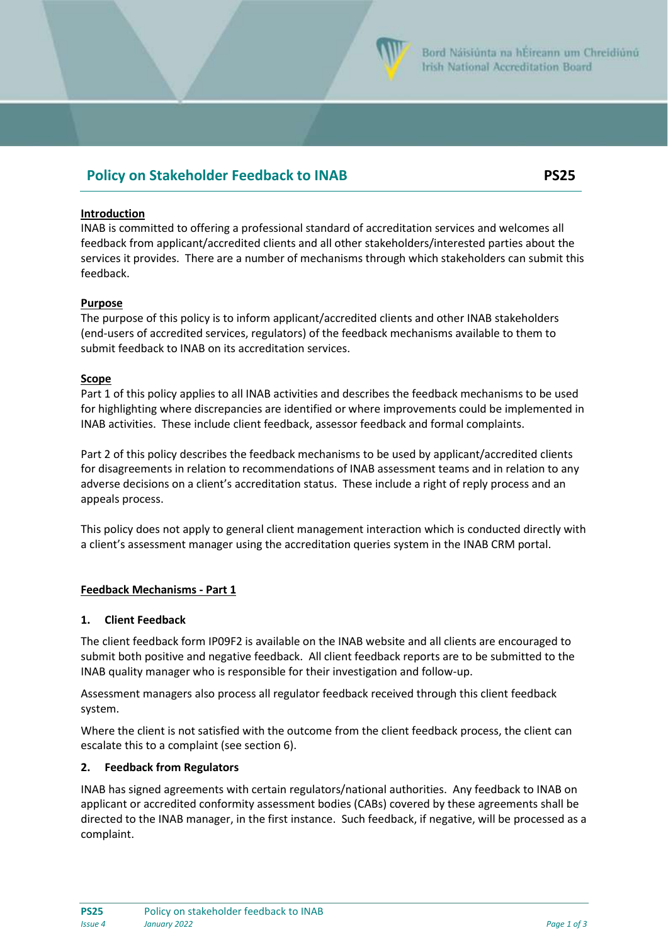

# **Policy on Stakeholder Feedback to INAB PS25**

## **Introduction**

INAB is committed to offering a professional standard of accreditation services and welcomes all feedback from applicant/accredited clients and all other stakeholders/interested parties about the services it provides. There are a number of mechanisms through which stakeholders can submit this feedback.

## **Purpose**

The purpose of this policy is to inform applicant/accredited clients and other INAB stakeholders (end-users of accredited services, regulators) of the feedback mechanisms available to them to submit feedback to INAB on its accreditation services.

## **Scope**

Part 1 of this policy applies to all INAB activities and describes the feedback mechanisms to be used for highlighting where discrepancies are identified or where improvements could be implemented in INAB activities. These include client feedback, assessor feedback and formal complaints.

Part 2 of this policy describes the feedback mechanisms to be used by applicant/accredited clients for disagreements in relation to recommendations of INAB assessment teams and in relation to any adverse decisions on a client's accreditation status. These include a right of reply process and an appeals process.

This policy does not apply to general client management interaction which is conducted directly with a client's assessment manager using the accreditation queries system in the INAB CRM portal.

## **Feedback Mechanisms - Part 1**

## **1. Client Feedback**

The client feedback form IP09F2 is available on the INAB website and all clients are encouraged to submit both positive and negative feedback. All client feedback reports are to be submitted to the INAB quality manager who is responsible for their investigation and follow-up.

Assessment managers also process all regulator feedback received through this client feedback system.

Where the client is not satisfied with the outcome from the client feedback process, the client can escalate this to a complaint (see section 6).

## **2. Feedback from Regulators**

INAB has signed agreements with certain regulators/national authorities. Any feedback to INAB on applicant or accredited conformity assessment bodies (CABs) covered by these agreements shall be directed to the INAB manager, in the first instance. Such feedback, if negative, will be processed as a complaint.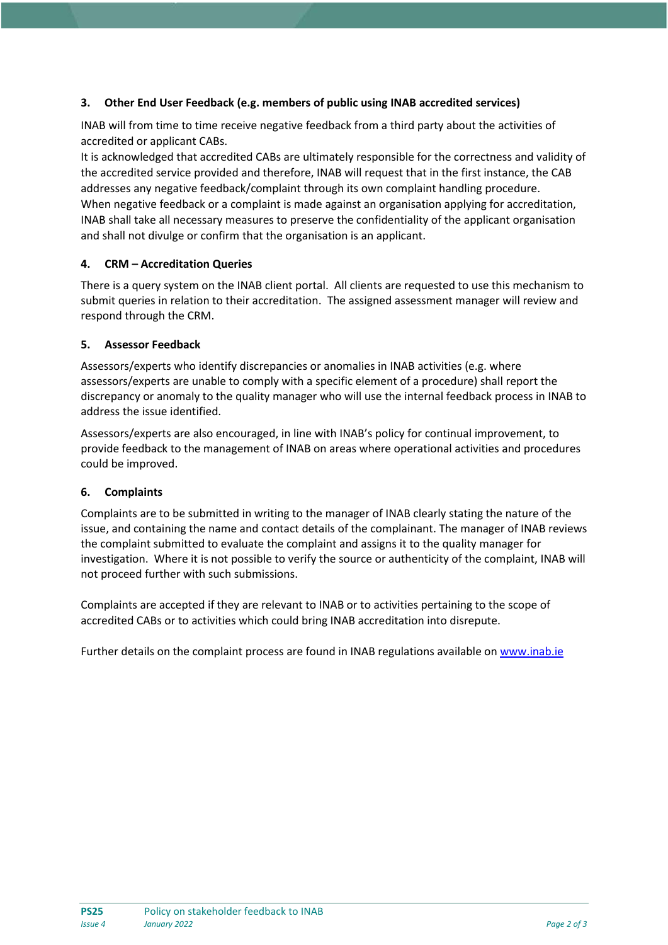# **3. Other End User Feedback (e.g. members of public using INAB accredited services)**

INAB will from time to time receive negative feedback from a third party about the activities of accredited or applicant CABs.

It is acknowledged that accredited CABs are ultimately responsible for the correctness and validity of the accredited service provided and therefore, INAB will request that in the first instance, the CAB addresses any negative feedback/complaint through its own complaint handling procedure. When negative feedback or a complaint is made against an organisation applying for accreditation, INAB shall take all necessary measures to preserve the confidentiality of the applicant organisation and shall not divulge or confirm that the organisation is an applicant.

## **4. CRM – Accreditation Queries**

There is a query system on the INAB client portal. All clients are requested to use this mechanism to submit queries in relation to their accreditation. The assigned assessment manager will review and respond through the CRM.

## **5. Assessor Feedback**

Assessors/experts who identify discrepancies or anomalies in INAB activities (e.g. where assessors/experts are unable to comply with a specific element of a procedure) shall report the discrepancy or anomaly to the quality manager who will use the internal feedback process in INAB to address the issue identified.

Assessors/experts are also encouraged, in line with INAB's policy for continual improvement, to provide feedback to the management of INAB on areas where operational activities and procedures could be improved.

## **6. Complaints**

Complaints are to be submitted in writing to the manager of INAB clearly stating the nature of the issue, and containing the name and contact details of the complainant. The manager of INAB reviews the complaint submitted to evaluate the complaint and assigns it to the quality manager for investigation. Where it is not possible to verify the source or authenticity of the complaint, INAB will not proceed further with such submissions.

Complaints are accepted if they are relevant to INAB or to activities pertaining to the scope of accredited CABs or to activities which could bring INAB accreditation into disrepute.

Further details on the complaint process are found in INAB regulations available o[n www.inab.ie](http://www.inab.ie/)